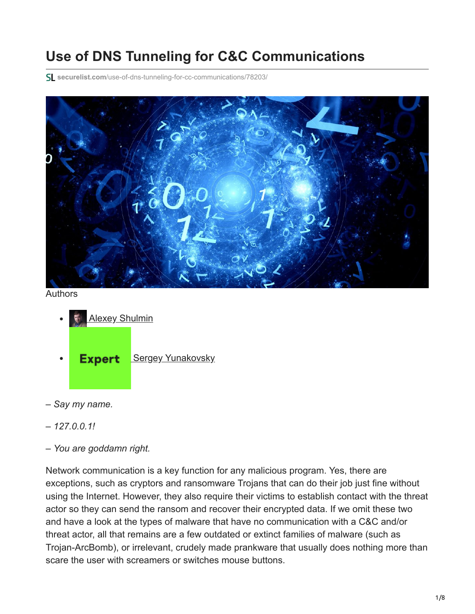# **Use of DNS Tunneling for C&C Communications**

**securelist.com**[/use-of-dns-tunneling-for-cc-communications/78203/](https://securelist.com/use-of-dns-tunneling-for-cc-communications/78203/)



Authors

- **[Alexey Shulmin](https://securelist.com/author/alexeyshulmin/)**
- **Expert** [Sergey Yunakovsky](https://securelist.com/author/sergeyyunakovsky/)
- *Say my name.*
- *127.0.0.1!*
- *You are goddamn right.*

Network communication is a key function for any malicious program. Yes, there are exceptions, such as cryptors and ransomware Trojans that can do their job just fine without using the Internet. However, they also require their victims to establish contact with the threat actor so they can send the ransom and recover their encrypted data. If we omit these two and have a look at the types of malware that have no communication with a C&C and/or threat actor, all that remains are a few outdated or extinct families of malware (such as Trojan-ArcBomb), or irrelevant, crudely made prankware that usually does nothing more than scare the user with screamers or switches mouse buttons.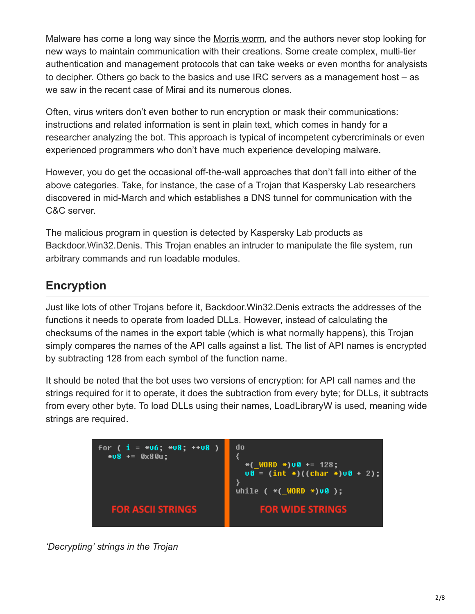Malware has come a long way since the [Morris worm](https://en.wikipedia.org/wiki/Morris_worm), and the authors never stop looking for new ways to maintain communication with their creations. Some create complex, multi-tier authentication and management protocols that can take weeks or even months for analysists to decipher. Others go back to the basics and use IRC servers as a management host – as we saw in the recent case of [Mirai](https://securelist.com/is-mirai-really-as-black-as-its-being-painted/76954/) and its numerous clones.

Often, virus writers don't even bother to run encryption or mask their communications: instructions and related information is sent in plain text, which comes in handy for a researcher analyzing the bot. This approach is typical of incompetent cybercriminals or even experienced programmers who don't have much experience developing malware.

However, you do get the occasional off-the-wall approaches that don't fall into either of the above categories. Take, for instance, the case of a Trojan that Kaspersky Lab researchers discovered in mid-March and which establishes a DNS tunnel for communication with the C&C server.

The malicious program in question is detected by Kaspersky Lab products as Backdoor.Win32.Denis. This Trojan enables an intruder to manipulate the file system, run arbitrary commands and run loadable modules.

### **Encryption**

Just like lots of other Trojans before it, Backdoor.Win32.Denis extracts the addresses of the functions it needs to operate from loaded DLLs. However, instead of calculating the checksums of the names in the export table (which is what normally happens), this Trojan simply compares the names of the API calls against a list. The list of API names is encrypted by subtracting 128 from each symbol of the function name.

It should be noted that the bot uses two versions of encryption: for API call names and the strings required for it to operate, it does the subtraction from every byte; for DLLs, it subtracts from every other byte. To load DLLs using their names, LoadLibraryW is used, meaning wide strings are required.



*'Decrypting' strings in the Trojan*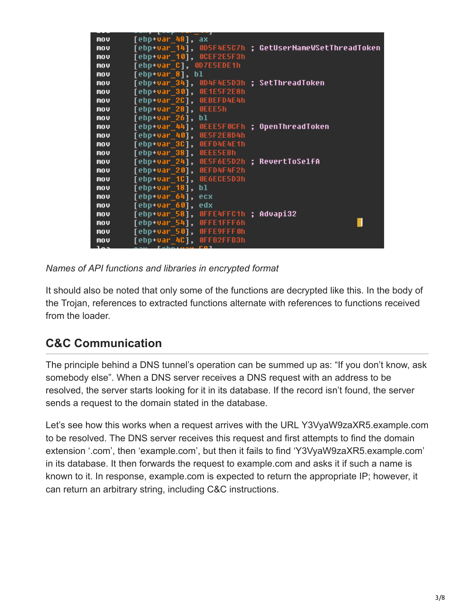| mov | [ebp+var 48],<br>ax                |                                         |  |
|-----|------------------------------------|-----------------------------------------|--|
| mov | [ebp+var 14],                      | 0D5F4E5C7h ; GetUserNameWSetThreadToken |  |
| mov | OCEF2E5F3h<br>[ebp+var 10],        |                                         |  |
| mov | 0D7E5EDE1h<br>[ebp+var C],         |                                         |  |
| mov | [ebp+var 8]. bl                    |                                         |  |
| mov | [ebp+var_34],                      | 0D4F4E5D3h : SetThreadToken             |  |
| mov | [ebp+var 30],<br>OE1E5F2E8h        |                                         |  |
| mov | <b>OEBEFD4E4h</b><br>[ebp+var 2C], |                                         |  |
| mov | [ebp+var 28],<br>OEEE5h            |                                         |  |
| mov | [ebp+var 26],<br>bl                |                                         |  |
| mov | [ebp+var 44],                      | OEEE5FOCFh ; OpenThreadToken            |  |
| mov | 0E5F2E8D4h<br>[ebp+var_40],        |                                         |  |
| mov | OEFD4E4E1h<br>[ebp+var 3C],        |                                         |  |
| mov | <b>OEEE5EBh</b><br>[ebp+var_38],   |                                         |  |
| mov | [ebp+var 24],                      | OE5F6E5D2h ; RevertToSelfA              |  |
| mov | <b>BEFD4F4F2h</b><br>[ebp+var_20], |                                         |  |
| mov | OE6ECE5D3h<br>[ebp+var 1C],        |                                         |  |
| mov | $[$ ebp+var $_1$ 18],<br>bl        |                                         |  |
| mov | [ebp+var 64],<br>ecx               |                                         |  |
| mov | [ebp+var 60],<br>edx               |                                         |  |
| mov | [ebp+var 58],                      | OFFE4FFC1h ; Advapi32                   |  |
| mov | [ebp+var_54],<br>OFFE1FFF6h        |                                         |  |
| mov | OFFE9FFF0h<br>[ebp+var 50],        |                                         |  |
| mov | OFFB2FFB3h<br>[ebp+var_4C],        |                                         |  |
|     |                                    |                                         |  |

*Names of API functions and libraries in encrypted format*

It should also be noted that only some of the functions are decrypted like this. In the body of the Trojan, references to extracted functions alternate with references to functions received from the loader.

### **C&C Communication**

The principle behind a DNS tunnel's operation can be summed up as: "If you don't know, ask somebody else". When a DNS server receives a DNS request with an address to be resolved, the server starts looking for it in its database. If the record isn't found, the server sends a request to the domain stated in the database.

Let's see how this works when a request arrives with the URL Y3VyaW9zaXR5.example.com to be resolved. The DNS server receives this request and first attempts to find the domain extension '.com', then 'example.com', but then it fails to find 'Y3VyaW9zaXR5.example.com' in its database. It then forwards the request to example.com and asks it if such a name is known to it. In response, example.com is expected to return the appropriate IP; however, it can return an arbitrary string, including C&C instructions.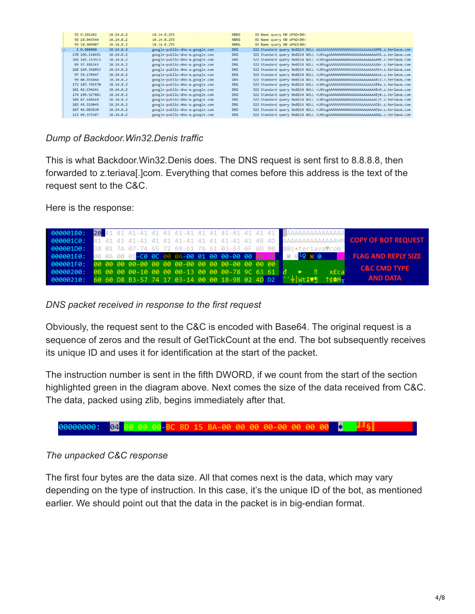| 55 9.281602     | 10.14.0.2 | 10.14.0.255                    | <b>NBNS</b> | 92 Name query NB WPAD<00>                                                     |
|-----------------|-----------|--------------------------------|-------------|-------------------------------------------------------------------------------|
| 56 10.045564    | 10.14.0.2 | 10.14.0.255                    | <b>NBNS</b> | 92 Name query NB WPAD<00>                                                     |
| 59 10,809907    | 10.14.0.2 | 10.14.0.255                    | <b>NBNS</b> | 92 Name query NB WPAD<00>                                                     |
| 1 0.000000      | 10.14.0.2 | google-public-dns-a.google.com | <b>DNS</b>  | 322 Standard query 0x0214 NULL AAAAAAAAAAAAAAAAAAAAAAAAAAAHM8.z.teriava.com   |
| 170 106, 110691 | 10.14.0.2 | google-public-dns-a.google.com | <b>DNS</b>  | 322 Standard query 0x0214 NULL vL0VugAAAAAAAAAAAAAAAAAAAAAAAADb.z.teriava.com |
| 166 102.163915  | 10.14.0.2 | google-public-dns-a.google.com | <b>DNS</b>  | 322 Standard query 0x0214 NULL vL0VugAAAAAAAAAAAAAAAAAAAAAAAHk.z.teriava.com  |
| 95 37.486263    | 10.14.0.2 | google-public-dns-a.google.com | <b>DNS</b>  | 322 Standard query 0x0214 NULL vL0VugAAAAAAAAAAAAAAAAAAAAAAANr.z.teriava.com  |
| 168 104, 348053 | 10.14.0.2 | google-public-dns-a.google.com | <b>DNS</b>  | 322 Standard query 0x0214 NULL vL0VugAAAAAAAAAAAAAAAAAAAAAAAAh4.z.teriava.com |
| 97 39.170947    | 10.14.0.2 | google-public-dns-a.google.com | <b>DNS</b>  | 322 Standard query 0x0214 NULL vL0VugAAAAAAAAAAAAAAAAAAAAAAAAxA.z.teriava.com |
| 99 40.855848    | 10.14.0.2 | google-public-dns-a.google.com | <b>DNS</b>  | 322 Standard query 0x0214 NULL vL0VugAAAAAAAAAAAAAAAAAAAAAABLU.z.teriava.com  |
| 172 107,795570  | 10.14.0.2 | google-public-dns-a.google.com | <b>DNS</b>  | 322 Standard query 0x0214 NULL vL0VugAAAAAAAAAAAAAAAAAAAAAAABXw.z.teriava.com |
| 101 42.634241   | 10.14.0.2 | google-public-dns-a.google.com | <b>DNS</b>  | 322 Standard query 0x0214 NULL vL0VugAAAAAAAAAAAAAAAAAAAAAAABnH.z.teriava.com |
| 174 109, 527081 | 10.14.0.2 | google-public-dns-a.google.com | <b>DNS</b>  | 322 Standard query 0x0214 NULL vL0VugAAAAAAAAAAAAAAAAAAAAAAABy0.z.teriava.com |
| 109 47.688669   | 10.14.0.2 | google-public-dns-a.google.com | <b>DNS</b>  | 322 Standard query 0x0214 NULL vL0VugAAAAAAAAAAAAAAAAAAAAAAC2F.z.teriava.com  |
| 103 44.319045   | 10.14.0.2 | google-public-dns-a.google.com | <b>DNS</b>  | 322 Standard query 0x0214 NULL vL0VugAAAAAAAAAAAAAAAAAAAAAACBc.z.teriava.com  |
| 107 46,003830   | 10.14.0.2 | google-public-dns-a.google.com | <b>DNS</b>  | 322 Standard query 0x0214 NULL vL0VugAAAAAAAAAAAAAAAAAAAAAAACbw.z.teriava.com |
| 113 49.373387   | 10.14.0.2 | google-public-dns-a.google.com | <b>DNS</b>  | 322 Standard query 0x0214 NULL vL0VugAAAAAAAAAAAAAAAAAAAAAAADQa.z.teriava.com |
|                 |           |                                |             |                                                                               |

*Dump of Backdoor.Win32.Denis traffic*

This is what Backdoor.Win32.Denis does. The DNS request is sent first to 8.8.8.8, then forwarded to z.teriava[.]com. Everything that comes before this address is the text of the request sent to the C&C.

Here is the response:



*DNS packet received in response to the first request*

Obviously, the request sent to the C&C is encoded with Base64. The original request is a sequence of zeros and the result of GetTickCount at the end. The bot subsequently receives its unique ID and uses it for identification at the start of the packet.

The instruction number is sent in the fifth DWORD, if we count from the start of the section highlighted green in the diagram above. Next comes the size of the data received from C&C. The data, packed using zlib, begins immediately after that.



#### *The unpacked C&C response*

The first four bytes are the data size. All that comes next is the data, which may vary depending on the type of instruction. In this case, it's the unique ID of the bot, as mentioned earlier. We should point out that the data in the packet is in big-endian format.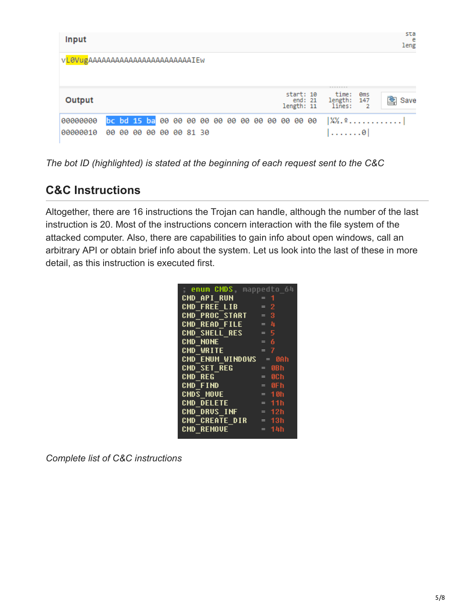| Input                            |                                                                                                               | sta<br>e<br>leng |  |  |
|----------------------------------|---------------------------------------------------------------------------------------------------------------|------------------|--|--|
| VL0VugAAAAAAAAAAAAAAAAAAAAAAAIEW |                                                                                                               |                  |  |  |
| Output                           | <b>BREEZERE</b><br>start: 10<br>time:<br><b>Oms</b><br>length:<br>end: 21<br>147<br>length: 11<br>lines:<br>2 | 粵<br>Save        |  |  |
| 00000000<br>00000010             | $\frac{1}{4}$ $\frac{1}{2}$<br>00 00<br>00 00 00 81 30<br>99<br>$\dots \dots \theta$                          |                  |  |  |

*The bot ID (highlighted) is stated at the beginning of each request sent to the C&C*

### **C&C Instructions**

Altogether, there are 16 instructions the Trojan can handle, although the number of the last instruction is 20. Most of the instructions concern interaction with the file system of the attacked computer. Also, there are capabilities to gain info about open windows, call an arbitrary API or obtain brief info about the system. Let us look into the last of these in more detail, as this instruction is executed first.

*Complete list of C&C instructions*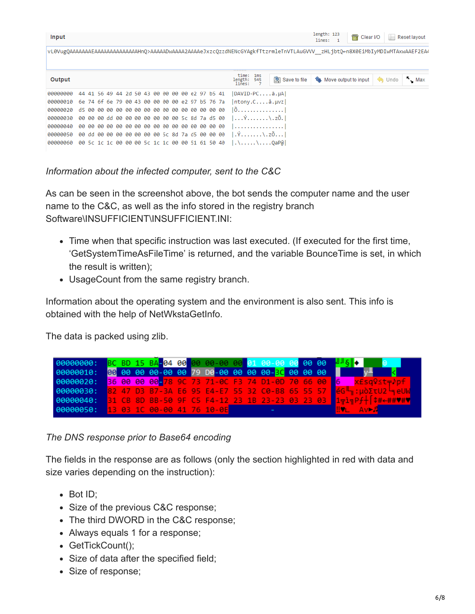| Input    |                                                 | length: 123<br><b>司 Clear I/O</b><br>$\blacksquare$ Reset layout<br>lines: 1                                                |
|----------|-------------------------------------------------|-----------------------------------------------------------------------------------------------------------------------------|
|          |                                                 | vL0VugQAAAAAAAEAAAAAAAAAAAAAAAHnQ>AAAAADwAAAA2AAAAeJxzcQzzdNENcGYAgkfTtzrmleTnVTLAuGVVV zHLjbtQ←n8X0EiMbIyMDIwMTAxwAAEF2EA4 |
|          |                                                 |                                                                                                                             |
| Output   |                                                 | time:<br>1ms<br>$\sim$ Max<br>Save to file<br><b>A</b> Undo<br><b>Gu</b> Move output to input<br>length:<br>545<br>lines:   |
| 00000000 | 44 41 56 49 44 2d 50 43 00 00 00 00 e2 97 b5 41 | DAVID-PCâ.µA                                                                                                                |
| 00000010 | 6e 74 6f 6e 79 00 43 00 00 00 00 e2 97 b5 76 7a | ntony.Ca.wz                                                                                                                 |
| 00000020 |                                                 | $[0, \ldots, \ldots, \ldots, \ldots]$                                                                                       |
| 00000030 | 00 00 00 dd 00 00 00 00 00 00 00 5c 8d 7a d5 00 | $  \ldots \hat{Y} \ldots \ldots \ldots \rangle$ . zõ. l                                                                     |
| 00000040 |                                                 | . 1                                                                                                                         |
| 00000050 | 00 dd 00 00 00 00 00 00 00 5c 8d 7a d5 00 00 00 | $\vert \cdot \hat{Y}, \ldots, \ldots \rangle, z\delta, \ldots \vert$                                                        |
| 00000060 | 00 5c 1c 1c 00 00 00 5c 1c 1c 00 00 51 61 50 40 |                                                                                                                             |

*Information about the infected computer, sent to the C&C*

As can be seen in the screenshot above, the bot sends the computer name and the user name to the C&C, as well as the info stored in the registry branch Software\INSUFFICIENT\INSUFFICIENT.INI:

- Time when that specific instruction was last executed. (If executed for the first time, 'GetSystemTimeAsFileTime' is returned, and the variable BounceTime is set, in which the result is written);
- UsageCount from the same registry branch.

Information about the operating system and the environment is also sent. This info is obtained with the help of NetWkstaGetInfo.

The data is packed using zlib.



*The DNS response prior to Base64 encoding*

The fields in the response are as follows (only the section highlighted in red with data and size varies depending on the instruction):

- Bot ID;
- Size of the previous C&C response;
- The third DWORD in the C&C response;
- Always equals 1 for a response;
- GetTickCount();
- Size of data after the specified field;
- Size of response;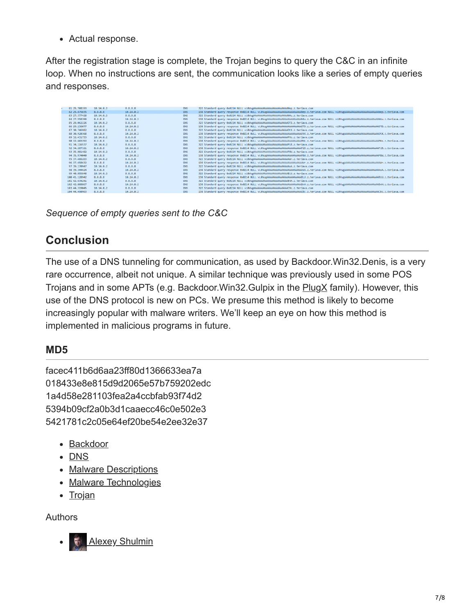Actual response.

After the registration stage is complete, the Trojan begins to query the C&C in an infinite loop. When no instructions are sent, the communication looks like a series of empty queries and responses.

| 81 25,708193  | 10.14.0.2      | 8.8.8.8    | <b>DNS</b>  | 322 Standard query 0x0214 NULL vL0VugAAAAAAAAAAAAAAAAAAAAANep.z.teriava.com                                                                   |
|---------------|----------------|------------|-------------|-----------------------------------------------------------------------------------------------------------------------------------------------|
| 82 25,875835  | 8, 8, 8, 8     | 10.14.0.2  | <b>DNS</b>  | 138 Standard query response 0x0214 NULL vL0VugAAAAAAAAAAAAAAAAAAAAAHep.z.teriava.com NULL vL0VugAAAAAAAAAAAAAAAAAAAAAAAAAAAAPep.z.teriava.com |
| 83 27.377428  | 10.14.0.2      | 8.8.8.8    | <b>DNS</b>  | 322 Standard query 0x0214 NULL vL0VugAAAAAAAAAAAAAAAAAAAAAAAH4u.z.teriava.com                                                                 |
| 84 27.558399  | <b>8.8.8.8</b> | 10.14.0.2  | <b>DRIS</b> |                                                                                                                                               |
| 85 29.062226  | 10.14.0.2      | 8.8.8.8    | <b>DNS</b>  | 322 Standard query 0x0214 NULL vL0VugAAAAAAAAAAAAAAAAAAAAAATD.z.teriava.com                                                                   |
| 86 29.236077  | 8.8.8.8        | 10.14.0.2  | <b>DNS</b>  | 138 Standard guery response 0x0214 NULL vL0VugAAAAAAAAAAAAAAAAAAAAAADTD.z.teriava.com NULL vL0VugAAAAAAAAAAAAAAAAAAAAAAAAATD.z.teriava.com    |
| 87 30,746982  | 10.14.0.2      | 8.8.8.8    | <b>DNS</b>  | 322 Standard query 0x0214 NULL vL0VugAAAAAAAAAAAAAAAAAAAAAACtX.z.teriava.com                                                                  |
| 88 30.920368  | 8.8.8.8        | 10.14.0.2  | <b>DNS</b>  | 138 Standard query response 0x0214 NULL vL0VugAAAAAAAAAAAAAAAAAAAAAAACX.z.teriava.com NULL vL0VugAAAAAAAAAAAAAAAAAAAAAAAAAACX.z.teriava.com   |
| 89 32, 431753 | 10.14.0.2      | 8.8.8.8    | <b>DNS</b>  | 322 Standard query 0x0214 NULL vL0VugAAAAAAAAAAAAAAAAAAAAAAPHs.z.teriava.com                                                                  |
| 98 32,683353  | 8.8.8.8        | 10.14.0.2  | <b>DNS</b>  | 138 Standard query response 0x0214 NULL vL0VugAAAAAAAAAAAAAAAAAAAAAAPHs.z.teriava.com NULL vL0VugAAAAAAAAAAAAAAAAAAAAAAAAAAAPHs.z.teriava.com |
| 91 34, 116537 | 10.14.0.2      | 8.8.8.8    | <b>DNS</b>  | 322 Standard query 0x0214 NULL vL0VugAAAAAAAAAAAAAAAAAAAAAAPiB.z.teriava.com                                                                  |
| 92 34.287321  | 8.8.8.8        | 10.14.0.2  | <b>DNS</b>  | 138 Standard query response 0x0214 NULL vL0VugAAAAAAAAAAAAAAAAAAAAAAPiB.z.teriava.com NULL vL0VugAAAAAAAAAAAAAAAAAAAAAAAAAAPiB.z.teriava.com  |
| 93 35,801482  | 10.14.0.2      | 8.8.8.8    | <b>DNS</b>  | 322 Standard query 0x0214 NULL vL0VugAAAAAAAAAAAAAAAAAAAAAAP8W.z.teriava.com                                                                  |
| 94 35.974848  | 8.8.8.8        | 10.14.0.2  | <b>DNS</b>  | 138 Standard query response 0x0214 NULL vL0VugAAAAAAAAAAAAAAAAAAAAAAABSW.z.teriava.com NULL vL0VugAAAAAAAAAAAAAAAAAAAAAAAAAAPSW.z.teriava.com |
| 95 37, 486263 | 10.14.0.2      | 8.8.8.8    | <b>DNS</b>  | 322 Standard query 0x0214 NULL vL0VugAAAAAAAAAAAAAAAAAAAAAAAHr.z.teriava.com                                                                  |
| 96 37,658632  | 8.8.8.8        | 10.14.0.2  | <b>DNS</b>  | 138 Standard query response 0x0214 NULL vL0VugAAAAAAAAAAAAAAAAAAAAAAAAA.com NULL vL0VugAAAAAAAAAAAAAAAAAAAAAAAAA-z.teriava.com                |
| 97 39,170947  | 10.14.0.2      | 8, 8, 8, 8 | <b>DNS</b>  | 322 Standard query 0x0214 NULL vL0VugAAAAAAAAAAAAAAAAAAAAAAAAxA.z.teriava.com                                                                 |
| 98 39, 344424 | 8.8.8.8        | 10.14.0.2  | <b>DNS</b>  | 138 Standard query response 0x0214 NULL vL0VugAAAAAAAAAAAAAAAAAAAAAAAA.z.teriava.com NULL vL0VugAAAAAAAAAAAAAAAAAAAAAAAAAA,z.teriava.com      |
| 99 40,855848  | 10.14.0.2      | 8, 8, 8, 8 | <b>DNS</b>  | 322 Standard query 0x0214 NULL vL0VugAAAAAAAAAAAAAAAAAAAAAABLU.z.teriava.com                                                                  |
| 100 41.128942 | 8.8.8.8        | 10.14.0.2  | <b>DNS</b>  | 138 Standard query response 0x0214 NULL vL0VugAAAAAAAAAAAAAAAAAAAABLU.z.teriava.com NULL vL0VugAAAAAAAAAAAAAAAAAAAAAAAAAAELU.z.teriava.com    |
| 101 42.634241 | 10.14.0.2      | 8, 8, 8, 8 | <b>DNS</b>  | 322 Standard guery 0x0214 NULL vL0VugAAAAAAAAAAAAAAAAAAAAAABnH.z.teriava.com                                                                  |
| 102 42,808867 | 8.8.8.8        | 10.14.0.2  | <b>DNS</b>  | 138 Standard query response 0x0214 NULL vL0VugAAAAAAAAAAAAAAAAAAAABnH.z.teriava.com NULL vL0VugAAAAAAAAAAAAAAAAAAAAAAAAAAA Ez.teriava.com     |
| 103 44.319045 | 10.14.0.2      | 8.8.8.8    | <b>DNS</b>  | 322 Standard guery 0x0214 NULL vL0VugAAAAAAAAAAAAAAAAAAAAAAEBc.z.teriava.com                                                                  |
| 104 44,490963 | 8.8.8.8        | 10.14.0.2  | <b>DNS</b>  | 138 Standard query response 0x0214 NULL vL0VugAAAAAAAAAAAAAAAAAAAAAACBc.z.teriava.com NULL vL0VugAAAAAAAAAAAAAAAAAAAAAAAAACBc.z.teriava.com   |
|               |                |            |             |                                                                                                                                               |

*Sequence of empty queries sent to the C&C*

## **Conclusion**

The use of a DNS tunneling for communication, as used by Backdoor.Win32.Denis, is a very rare occurrence, albeit not unique. A similar technique was previously used in some POS Trojans and in some APTs (e.g. Backdoor.Win32.Gulpix in the [PlugX](https://securelist.com/blog/research/66960/winnti-returns-with-plugx/) family). However, this use of the DNS protocol is new on PCs. We presume this method is likely to become increasingly popular with malware writers. We'll keep an eye on how this method is implemented in malicious programs in future.

### **MD5**

facec411b6d6aa23ff80d1366633ea7a 018433e8e815d9d2065e57b759202edc 1a4d58e281103fea2a4ccbfab93f74d2 5394b09cf2a0b3d1caaecc46c0e502e3 5421781c2c05e64ef20be54e2ee32e37

- [Backdoor](https://securelist.com/tag/backdoor/)
- [DNS](https://securelist.com/tag/dns/)
- [Malware Descriptions](https://securelist.com/tag/malware-descriptions/)
- [Malware Technologies](https://securelist.com/tag/malware-technologies/)
- [Trojan](https://securelist.com/tag/trojan/)

Authors

**[Alexey Shulmin](https://securelist.com/author/alexeyshulmin/)**